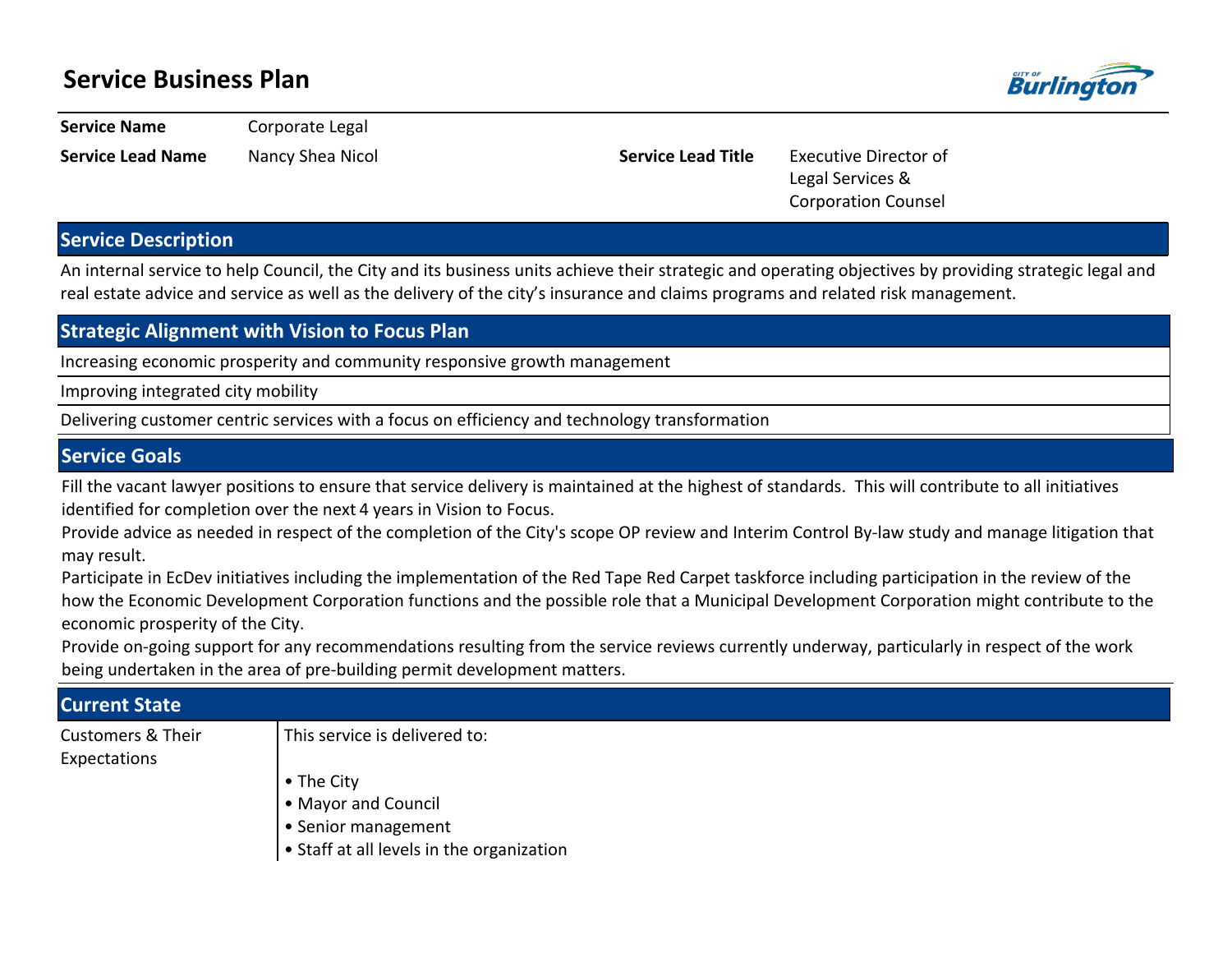# **Service Business Plan**



**Service Name Corporate Legal** 

**Service Lead Name** Nancy Shea Nicol **Service Lead Title** Executive Director of Legal Services & Corporation Counsel

## **Service Description**

An internal service to help Council, the City and its business units achieve their strategic and operating objectives by providing strategic legal and real estate advice and service as well as the delivery of the city's insurance and claims programs and related risk management.

### **Strategic Alignment with Vision to Focus Plan**

Increasing economic prosperity and community responsive growth management

Improving integrated city mobility

Delivering customer centric services with a focus on efficiency and technology transformation

### **Service Goals**

Fill the vacant lawyer positions to ensure that service delivery is maintained at the highest of standards. This will contribute to all initiatives identified for completion over the next 4 years in Vision to Focus.

Provide advice as needed in respect of the completion of the City's scope OP review and Interim Control By-law study and manage litigation that may result.

Participate in EcDev initiatives including the implementation of the Red Tape Red Carpet taskforce including participation in the review of the how the Economic Development Corporation functions and the possible role that a Municipal Development Corporation might contribute to the economic prosperity of the City.

Provide on-going support for any recommendations resulting from the service reviews currently underway, particularly in respect of the work being undertaken in the area of pre-building permit development matters.

| <b>Current State</b>         |                                                 |
|------------------------------|-------------------------------------------------|
| <b>Customers &amp; Their</b> | This service is delivered to:                   |
| Expectations                 | • The City                                      |
|                              | • Mayor and Council                             |
|                              | Senior management                               |
|                              | $\cdot$ Staff at all levels in the organization |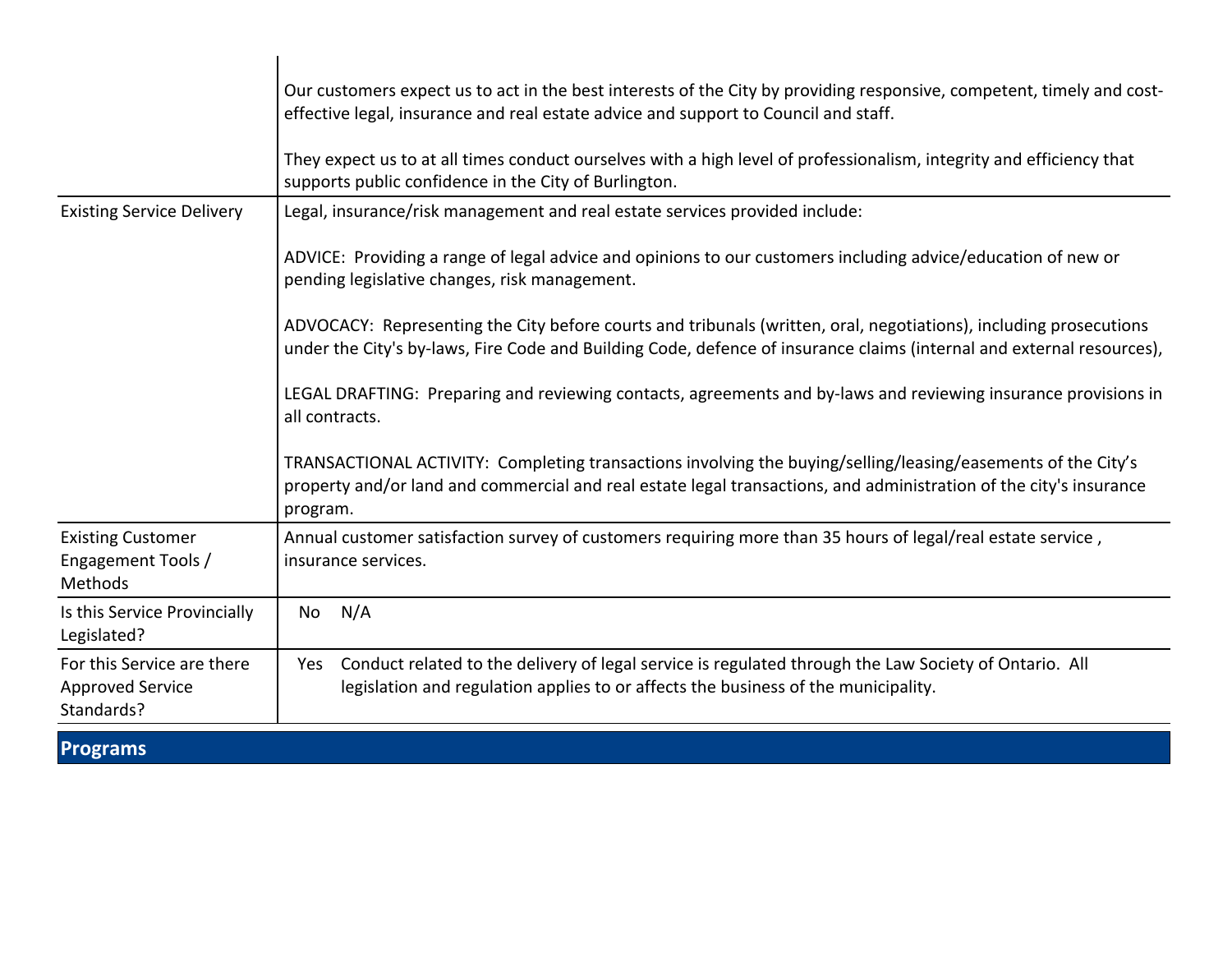|                                                                     | Our customers expect us to act in the best interests of the City by providing responsive, competent, timely and cost-<br>effective legal, insurance and real estate advice and support to Council and staff.<br>They expect us to at all times conduct ourselves with a high level of professionalism, integrity and efficiency that<br>supports public confidence in the City of Burlington. |
|---------------------------------------------------------------------|-----------------------------------------------------------------------------------------------------------------------------------------------------------------------------------------------------------------------------------------------------------------------------------------------------------------------------------------------------------------------------------------------|
| <b>Existing Service Delivery</b>                                    | Legal, insurance/risk management and real estate services provided include:<br>ADVICE: Providing a range of legal advice and opinions to our customers including advice/education of new or<br>pending legislative changes, risk management.                                                                                                                                                  |
|                                                                     | ADVOCACY: Representing the City before courts and tribunals (written, oral, negotiations), including prosecutions<br>under the City's by-laws, Fire Code and Building Code, defence of insurance claims (internal and external resources),<br>LEGAL DRAFTING: Preparing and reviewing contacts, agreements and by-laws and reviewing insurance provisions in                                  |
|                                                                     | all contracts.<br>TRANSACTIONAL ACTIVITY: Completing transactions involving the buying/selling/leasing/easements of the City's<br>property and/or land and commercial and real estate legal transactions, and administration of the city's insurance<br>program.                                                                                                                              |
| <b>Existing Customer</b><br>Engagement Tools /<br>Methods           | Annual customer satisfaction survey of customers requiring more than 35 hours of legal/real estate service,<br>insurance services.                                                                                                                                                                                                                                                            |
| Is this Service Provincially<br>Legislated?                         | N/A<br>No                                                                                                                                                                                                                                                                                                                                                                                     |
| For this Service are there<br><b>Approved Service</b><br>Standards? | Conduct related to the delivery of legal service is regulated through the Law Society of Ontario. All<br>Yes<br>legislation and regulation applies to or affects the business of the municipality.                                                                                                                                                                                            |

**Programs**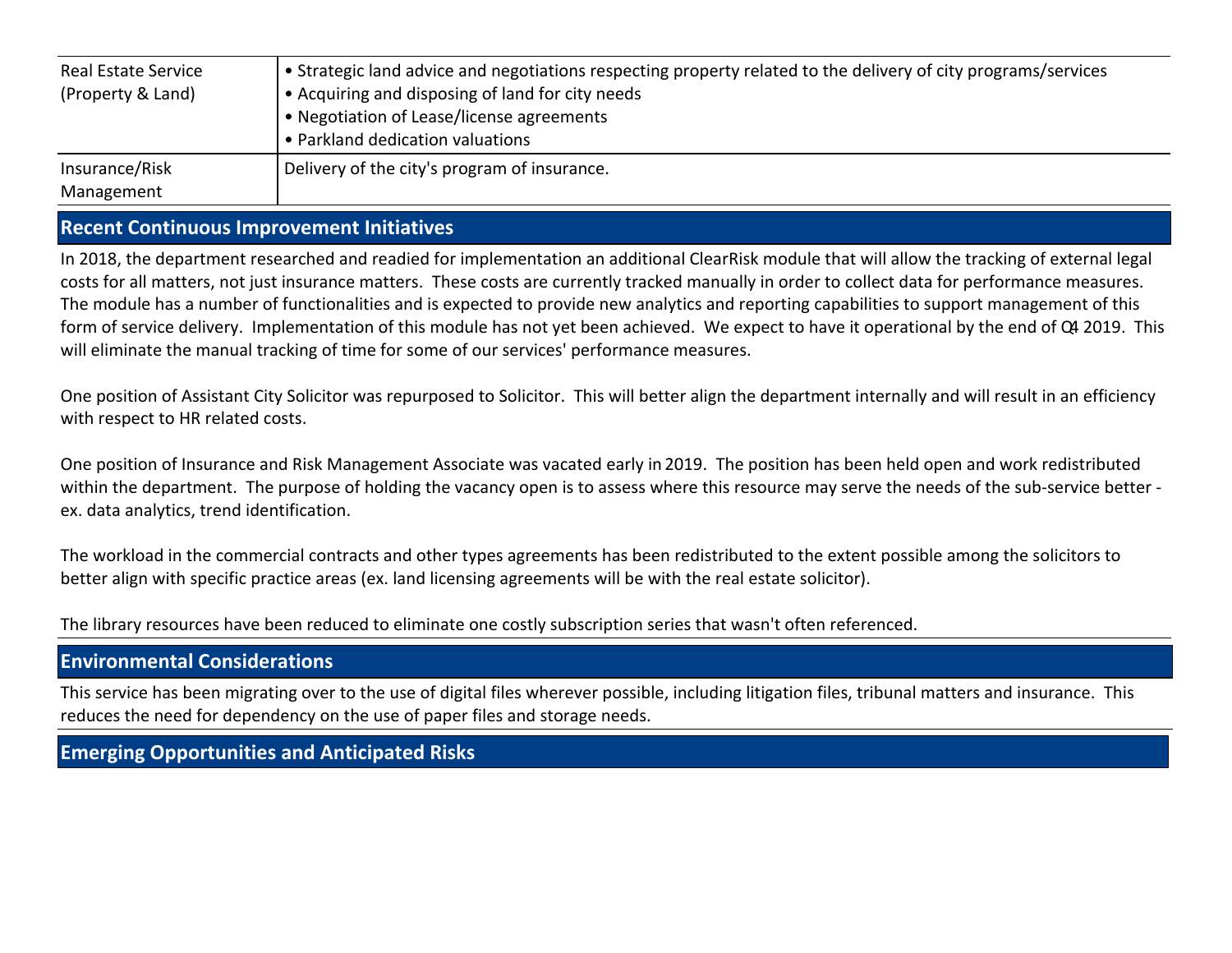| <b>Real Estate Service</b><br>(Property & Land) | • Strategic land advice and negotiations respecting property related to the delivery of city programs/services<br>• Acquiring and disposing of land for city needs<br>• Negotiation of Lease/license agreements<br>• Parkland dedication valuations |
|-------------------------------------------------|-----------------------------------------------------------------------------------------------------------------------------------------------------------------------------------------------------------------------------------------------------|
| Insurance/Risk<br>Management                    | Delivery of the city's program of insurance.                                                                                                                                                                                                        |

### **Recent Continuous Improvement Initiatives**

In 2018, the department researched and readied for implementation an additional ClearRisk module that will allow the tracking of external legal costs for all matters, not just insurance matters. These costs are currently tracked manually in order to collect data for performance measures. The module has a number of functionalities and is expected to provide new analytics and reporting capabilities to support management of this form of service delivery. Implementation of this module has not yet been achieved. We expect to have it operational by the end of Q4 2019. This will eliminate the manual tracking of time for some of our services' performance measures.

One position of Assistant City Solicitor was repurposed to Solicitor. This will better align the department internally and will result in an efficiency with respect to HR related costs.

One position of Insurance and Risk Management Associate was vacated early in 2019. The position has been held open and work redistributed within the department. The purpose of holding the vacancy open is to assess where this resource may serve the needs of the sub-service better ex. data analytics, trend identification.

The workload in the commercial contracts and other types agreements has been redistributed to the extent possible among the solicitors to better align with specific practice areas (ex. land licensing agreements will be with the real estate solicitor).

The library resources have been reduced to eliminate one costly subscription series that wasn't often referenced.

### **Environmental Considerations**

This service has been migrating over to the use of digital files wherever possible, including litigation files, tribunal matters and insurance. This reduces the need for dependency on the use of paper files and storage needs.

## **Emerging Opportunities and Anticipated Risks**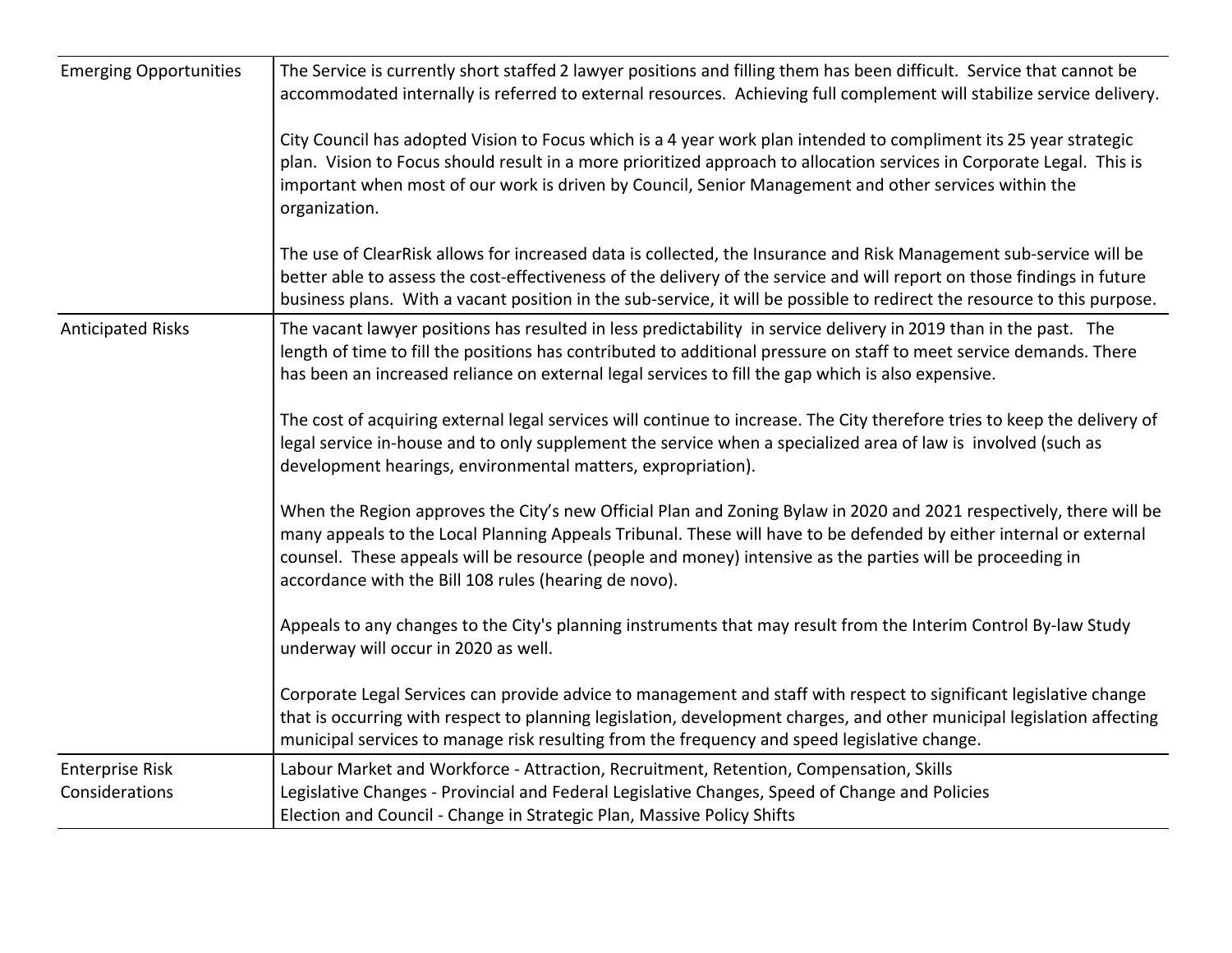| <b>Emerging Opportunities</b>            | The Service is currently short staffed 2 lawyer positions and filling them has been difficult. Service that cannot be<br>accommodated internally is referred to external resources. Achieving full complement will stabilize service delivery.                                                                                                                                                                  |
|------------------------------------------|-----------------------------------------------------------------------------------------------------------------------------------------------------------------------------------------------------------------------------------------------------------------------------------------------------------------------------------------------------------------------------------------------------------------|
|                                          | City Council has adopted Vision to Focus which is a 4 year work plan intended to compliment its 25 year strategic<br>plan. Vision to Focus should result in a more prioritized approach to allocation services in Corporate Legal. This is<br>important when most of our work is driven by Council, Senior Management and other services within the<br>organization.                                            |
|                                          | The use of ClearRisk allows for increased data is collected, the Insurance and Risk Management sub-service will be<br>better able to assess the cost-effectiveness of the delivery of the service and will report on those findings in future<br>business plans. With a vacant position in the sub-service, it will be possible to redirect the resource to this purpose.                                       |
| <b>Anticipated Risks</b>                 | The vacant lawyer positions has resulted in less predictability in service delivery in 2019 than in the past. The<br>length of time to fill the positions has contributed to additional pressure on staff to meet service demands. There<br>has been an increased reliance on external legal services to fill the gap which is also expensive.                                                                  |
|                                          | The cost of acquiring external legal services will continue to increase. The City therefore tries to keep the delivery of<br>legal service in-house and to only supplement the service when a specialized area of law is involved (such as<br>development hearings, environmental matters, expropriation).                                                                                                      |
|                                          | When the Region approves the City's new Official Plan and Zoning Bylaw in 2020 and 2021 respectively, there will be<br>many appeals to the Local Planning Appeals Tribunal. These will have to be defended by either internal or external<br>counsel. These appeals will be resource (people and money) intensive as the parties will be proceeding in<br>accordance with the Bill 108 rules (hearing de novo). |
|                                          | Appeals to any changes to the City's planning instruments that may result from the Interim Control By-law Study<br>underway will occur in 2020 as well.                                                                                                                                                                                                                                                         |
|                                          | Corporate Legal Services can provide advice to management and staff with respect to significant legislative change<br>that is occurring with respect to planning legislation, development charges, and other municipal legislation affecting<br>municipal services to manage risk resulting from the frequency and speed legislative change.                                                                    |
| <b>Enterprise Risk</b><br>Considerations | Labour Market and Workforce - Attraction, Recruitment, Retention, Compensation, Skills<br>Legislative Changes - Provincial and Federal Legislative Changes, Speed of Change and Policies<br>Election and Council - Change in Strategic Plan, Massive Policy Shifts                                                                                                                                              |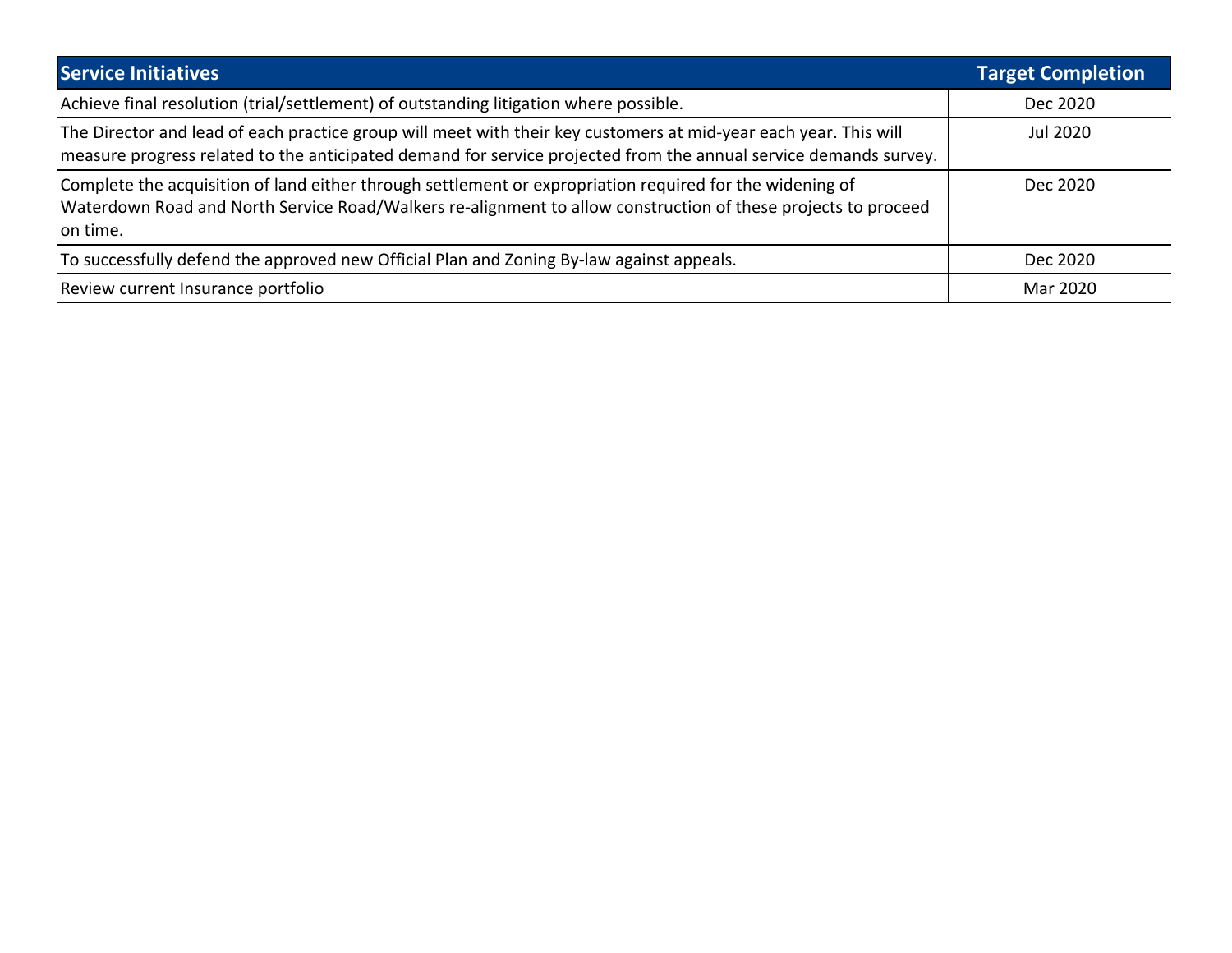| <b>Service Initiatives</b>                                                                                                                                                                                                            | <b>Target Completion</b> |
|---------------------------------------------------------------------------------------------------------------------------------------------------------------------------------------------------------------------------------------|--------------------------|
| Achieve final resolution (trial/settlement) of outstanding litigation where possible.                                                                                                                                                 | Dec 2020                 |
| The Director and lead of each practice group will meet with their key customers at mid-year each year. This will<br>measure progress related to the anticipated demand for service projected from the annual service demands survey.  | Jul 2020                 |
| Complete the acquisition of land either through settlement or expropriation required for the widening of<br>Waterdown Road and North Service Road/Walkers re-alignment to allow construction of these projects to proceed<br>on time. | Dec 2020                 |
| To successfully defend the approved new Official Plan and Zoning By-law against appeals.                                                                                                                                              | Dec 2020                 |
| Review current Insurance portfolio                                                                                                                                                                                                    | Mar 2020                 |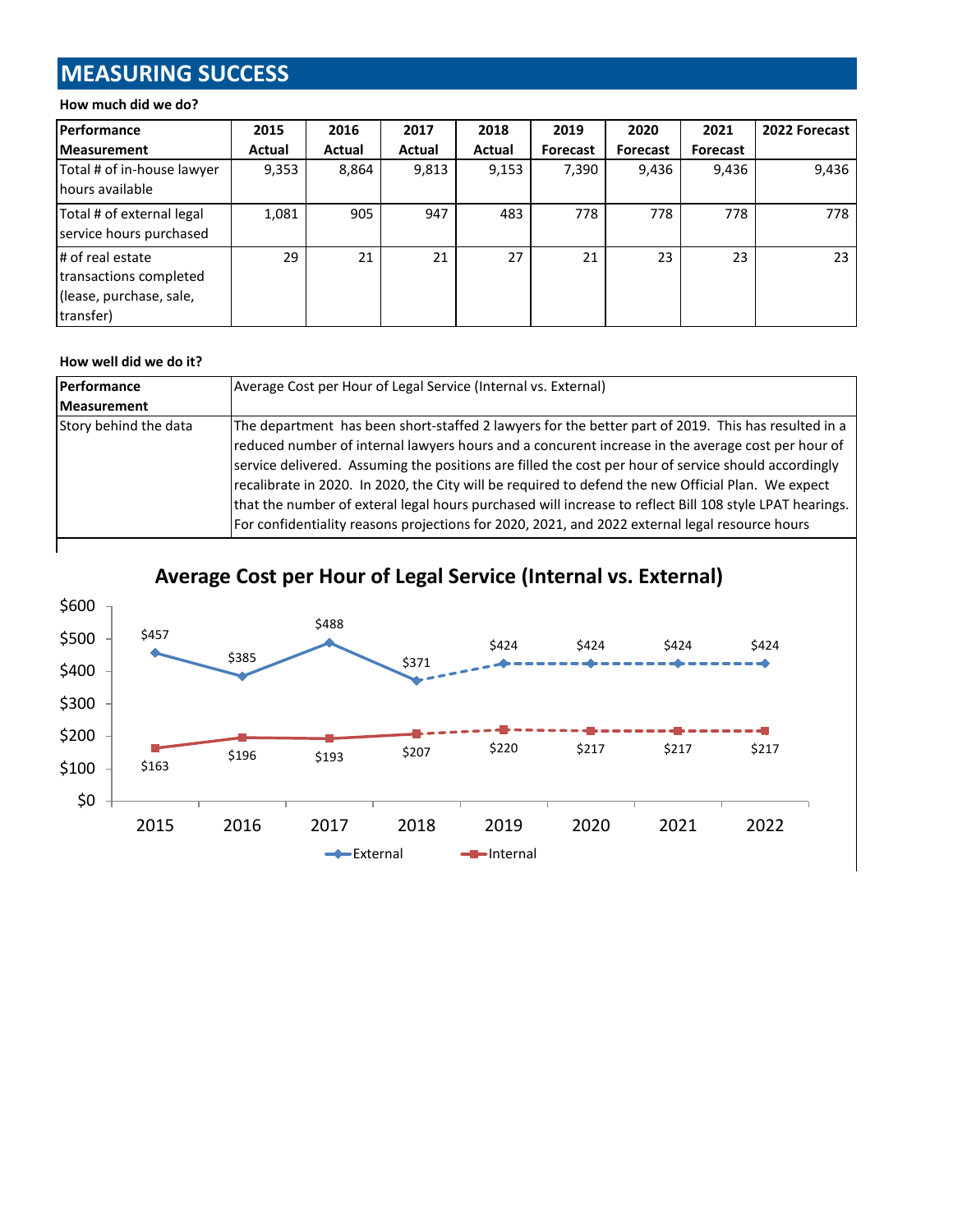# **MEASURING SUCCESS**

#### **How much did we do?**

| <b>Performance</b>                                                                 | 2015   | 2016   | 2017   | 2018   | 2019            | 2020     | 2021     | 2022 Forecast |
|------------------------------------------------------------------------------------|--------|--------|--------|--------|-----------------|----------|----------|---------------|
| <b>Measurement</b>                                                                 | Actual | Actual | Actual | Actual | <b>Forecast</b> | Forecast | Forecast |               |
| Total # of in-house lawyer<br>hours available                                      | 9,353  | 8,864  | 9,813  | 9,153  | 7,390           | 9,436    | 9,436    | 9,436         |
| Total # of external legal<br>service hours purchased                               | 1,081  | 905    | 947    | 483    | 778             | 778      | 778      | 778           |
| # of real estate<br>transactions completed<br>(lease, purchase, sale,<br>transfer) | 29     | 21     | 21     | 27     | 21              | 23       | 23       | 23            |

#### **How well did we do it?**

| Performance           | Average Cost per Hour of Legal Service (Internal vs. External)                                                                                                                                                                                                                                                                                                                                                                                                                                                                                                                                                                      |  |  |  |
|-----------------------|-------------------------------------------------------------------------------------------------------------------------------------------------------------------------------------------------------------------------------------------------------------------------------------------------------------------------------------------------------------------------------------------------------------------------------------------------------------------------------------------------------------------------------------------------------------------------------------------------------------------------------------|--|--|--|
| <b>Measurement</b>    |                                                                                                                                                                                                                                                                                                                                                                                                                                                                                                                                                                                                                                     |  |  |  |
| Story behind the data | The department has been short-staffed 2 lawyers for the better part of 2019. This has resulted in a<br>reduced number of internal lawyers hours and a concurent increase in the average cost per hour of<br>service delivered. Assuming the positions are filled the cost per hour of service should accordingly<br>recalibrate in 2020. In 2020, the City will be required to defend the new Official Plan. We expect<br>that the number of exteral legal hours purchased will increase to reflect Bill 108 style LPAT hearings.<br>For confidentiality reasons projections for 2020, 2021, and 2022 external legal resource hours |  |  |  |



**Average Cost per Hour of Legal Service (Internal vs. External)**